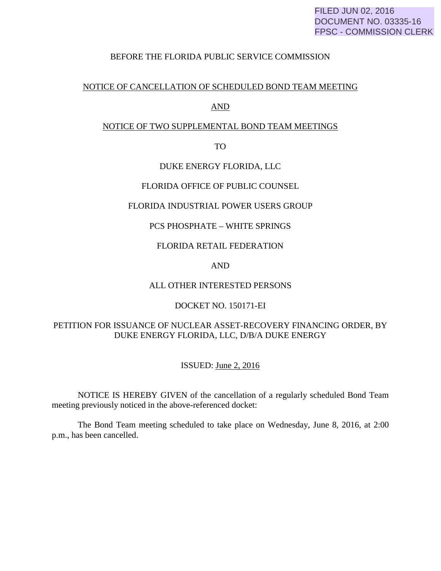#### BEFORE THE FLORIDA PUBLIC SERVICE COMMISSION

#### NOTICE OF CANCELLATION OF SCHEDULED BOND TEAM MEETING

#### AND

### NOTICE OF TWO SUPPLEMENTAL BOND TEAM MEETINGS

TO

#### DUKE ENERGY FLORIDA, LLC

#### FLORIDA OFFICE OF PUBLIC COUNSEL

#### FLORIDA INDUSTRIAL POWER USERS GROUP

## PCS PHOSPHATE – WHITE SPRINGS

#### FLORIDA RETAIL FEDERATION

#### AND

## ALL OTHER INTERESTED PERSONS

#### DOCKET NO. 150171-EI

# PETITION FOR ISSUANCE OF NUCLEAR ASSET-RECOVERY FINANCING ORDER, BY DUKE ENERGY FLORIDA, LLC, D/B/A DUKE ENERGY

## ISSUED: June 2, 2016

 NOTICE IS HEREBY GIVEN of the cancellation of a regularly scheduled Bond Team meeting previously noticed in the above-referenced docket:

 The Bond Team meeting scheduled to take place on Wednesday, June 8, 2016, at 2:00 p.m., has been cancelled.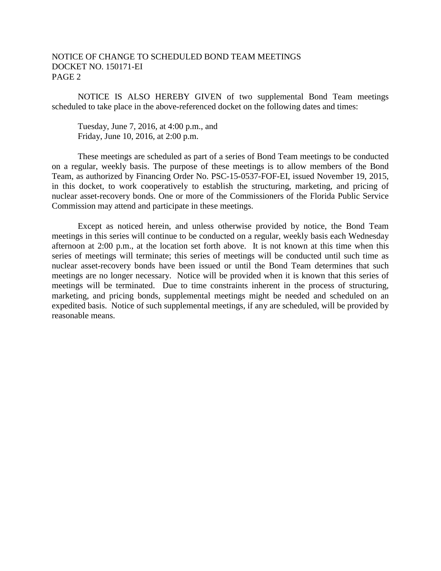### NOTICE OF CHANGE TO SCHEDULED BOND TEAM MEETINGS DOCKET NO. 150171-EI PAGE 2

 NOTICE IS ALSO HEREBY GIVEN of two supplemental Bond Team meetings scheduled to take place in the above-referenced docket on the following dates and times:

 Tuesday, June 7, 2016, at 4:00 p.m., and Friday, June 10, 2016, at 2:00 p.m.

 These meetings are scheduled as part of a series of Bond Team meetings to be conducted on a regular, weekly basis. The purpose of these meetings is to allow members of the Bond Team, as authorized by Financing Order No. PSC-15-0537-FOF-EI, issued November 19, 2015, in this docket, to work cooperatively to establish the structuring, marketing, and pricing of nuclear asset-recovery bonds. One or more of the Commissioners of the Florida Public Service Commission may attend and participate in these meetings.

Except as noticed herein, and unless otherwise provided by notice, the Bond Team meetings in this series will continue to be conducted on a regular, weekly basis each Wednesday afternoon at 2:00 p.m., at the location set forth above. It is not known at this time when this series of meetings will terminate; this series of meetings will be conducted until such time as nuclear asset-recovery bonds have been issued or until the Bond Team determines that such meetings are no longer necessary. Notice will be provided when it is known that this series of meetings will be terminated. Due to time constraints inherent in the process of structuring, marketing, and pricing bonds, supplemental meetings might be needed and scheduled on an expedited basis. Notice of such supplemental meetings, if any are scheduled, will be provided by reasonable means.